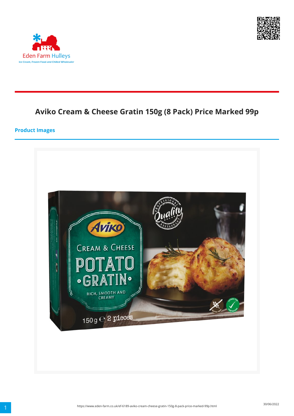



# **Aviko Cream & Cheese Gratin 150g (8 Pack) Price Marked 99p**

#### **Product Images**

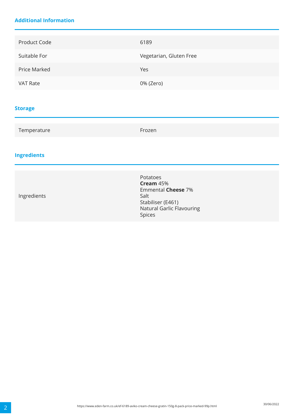### **Additional Information**

| Product Code        | 6189                    |
|---------------------|-------------------------|
| Suitable For        | Vegetarian, Gluten Free |
| <b>Price Marked</b> | Yes                     |
| <b>VAT Rate</b>     | 0% (Zero)               |
|                     |                         |

### **Storage**

| Temperature        | Frozen                                                                                                                        |
|--------------------|-------------------------------------------------------------------------------------------------------------------------------|
| <b>Ingredients</b> |                                                                                                                               |
| Ingredients        | Potatoes<br>Cream 45%<br><b>Emmental Cheese 7%</b><br>Salt<br>Stabiliser (E461)<br><b>Natural Garlic Flavouring</b><br>Spices |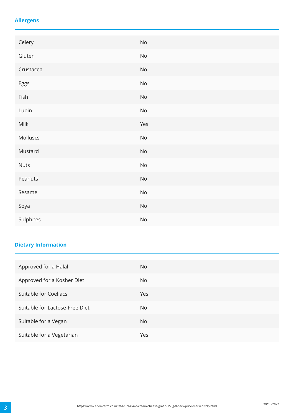### **Allergens**

| Celery      | $\mathsf{No}$                |
|-------------|------------------------------|
| Gluten      | $\rm No$                     |
| Crustacea   | $\mathsf{No}$                |
| Eggs        | $\mathsf{No}$                |
| Fish        | $\mathsf{No}$                |
| Lupin       | $\mathsf{No}$                |
| Milk        | Yes                          |
| Molluscs    | $\rm No$                     |
| Mustard     | $\mathsf{No}$                |
| <b>Nuts</b> | $\operatorname{\mathsf{No}}$ |
| Peanuts     | $\rm No$                     |
| Sesame      | $\rm No$                     |
| Soya        | $\rm No$                     |
| Sulphites   | $\mathsf{No}$                |

## **Dietary Information**

| Approved for a Halal           | No. |
|--------------------------------|-----|
| Approved for a Kosher Diet     | No. |
| Suitable for Coeliacs          | Yes |
| Suitable for Lactose-Free Diet | No. |
| Suitable for a Vegan           | No. |
| Suitable for a Vegetarian      | Yes |